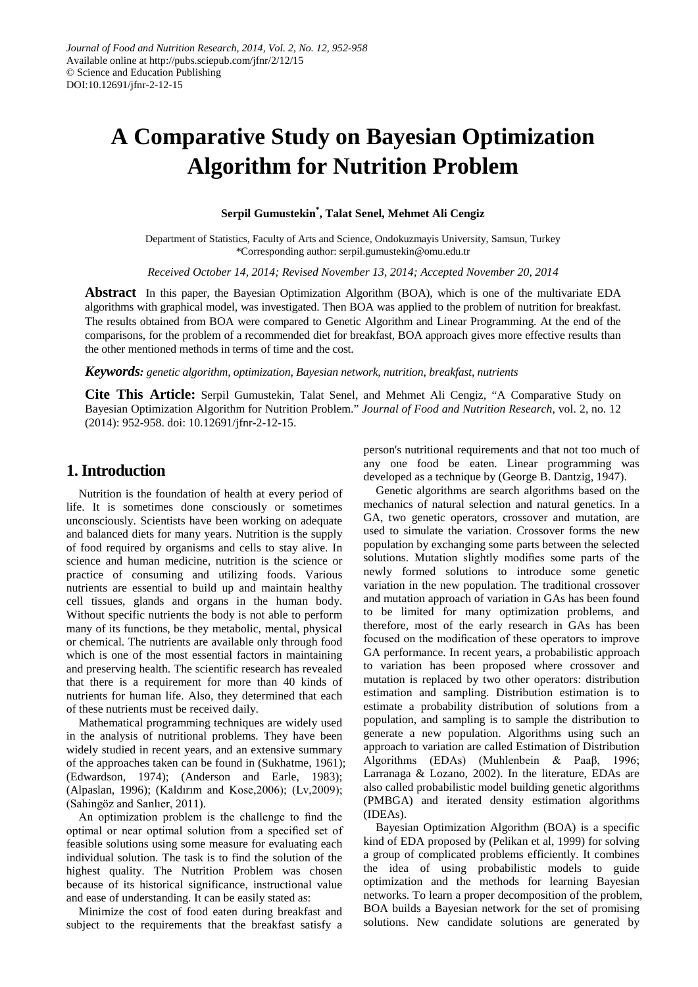# **A Comparative Study on Bayesian Optimization Algorithm for Nutrition Problem**

**Serpil Gumustekin\* , Talat Senel, Mehmet Ali Cengiz**

Department of Statistics, Faculty of Arts and Science, Ondokuzmayis University, Samsun, Turkey \*Corresponding author: serpil.gumustekin@omu.edu.tr

*Received October 14, 2014; Revised November 13, 2014; Accepted November 20, 2014*

**Abstract** In this paper, the Bayesian Optimization Algorithm (BOA), which is one of the multivariate EDA algorithms with graphical model, was investigated. Then BOA was applied to the problem of nutrition for breakfast. The results obtained from BOA were compared to Genetic Algorithm and Linear Programming. At the end of the comparisons, for the problem of a recommended diet for breakfast, BOA approach gives more effective results than the other mentioned methods in terms of time and the cost.

*Keywords: genetic algorithm, optimization, Bayesian network, nutrition, breakfast, nutrients*

**Cite This Article:** Serpil Gumustekin, Talat Senel, and Mehmet Ali Cengiz, "A Comparative Study on Bayesian Optimization Algorithm for Nutrition Problem." *Journal of Food and Nutrition Research*, vol. 2, no. 12 (2014): 952-958. doi: 10.12691/jfnr-2-12-15.

# **1. Introduction**

Nutrition is the foundation of health at every period of life. It is sometimes done consciously or sometimes unconsciously. Scientists have been working on adequate and balanced diets for many years. Nutrition is the supply of food required by organisms and cells to stay alive. In science and human medicine, nutrition is the science or practice of consuming and utilizing foods. Various nutrients are essential to build up and maintain healthy cell tissues, glands and organs in the human body. Without specific nutrients the body is not able to perform many of its functions, be they metabolic, mental, physical or chemical. The nutrients are available only through food which is one of the most essential factors in maintaining and preserving health. The scientific research has revealed that there is a requirement for more than 40 kinds of nutrients for human life. Also, they determined that each of these nutrients must be received daily.

Mathematical programming techniques are widely used in the analysis of nutritional problems. They have been widely studied in recent years, and an extensive summary of the approaches taken can be found in (Sukhatme, 1961); (Edwardson, 1974); (Anderson and Earle, 1983); (Alpaslan, 1996); (Kaldırım and Kose,2006); (Lv,2009); (Sahingöz and Sanlıer, 2011).

An optimization problem is the challenge to find the optimal or near optimal solution from a specified set of feasible solutions using some measure for evaluating each individual solution. The task is to find the solution of the highest quality. The Nutrition Problem was chosen because of its historical significance, instructional value and ease of understanding. It can be easily stated as:

Minimize the cost of food eaten during breakfast and subject to the requirements that the breakfast satisfy a person's nutritional requirements and that not too much of any one food be eaten. Linear programming was developed as a technique by (George B. Dantzig, 1947).

Genetic algorithms are search algorithms based on the mechanics of natural selection and natural genetics. In a GA, two genetic operators, crossover and mutation, are used to simulate the variation. Crossover forms the new population by exchanging some parts between the selected solutions. Mutation slightly modifies some parts of the newly formed solutions to introduce some genetic variation in the new population. The traditional crossover and mutation approach of variation in GAs has been found to be limited for many optimization problems, and therefore, most of the early research in GAs has been focused on the modification of these operators to improve GA performance. In recent years, a probabilistic approach to variation has been proposed where crossover and mutation is replaced by two other operators: distribution estimation and sampling. Distribution estimation is to estimate a probability distribution of solutions from a population, and sampling is to sample the distribution to generate a new population. Algorithms using such an approach to variation are called Estimation of Distribution Algorithms (EDAs) (Muhlenbein & Paaβ, 1996; Larranaga & Lozano, 2002). In the literature, EDAs are also called probabilistic model building genetic algorithms (PMBGA) and iterated density estimation algorithms (IDEAs).

Bayesian Optimization Algorithm (BOA) is a specific kind of EDA proposed by (Pelikan et al, 1999) for solving a group of complicated problems efficiently. It combines the idea of using probabilistic models to guide optimization and the methods for learning Bayesian networks. To learn a proper decomposition of the problem, BOA builds a Bayesian network for the set of promising solutions. New candidate solutions are generated by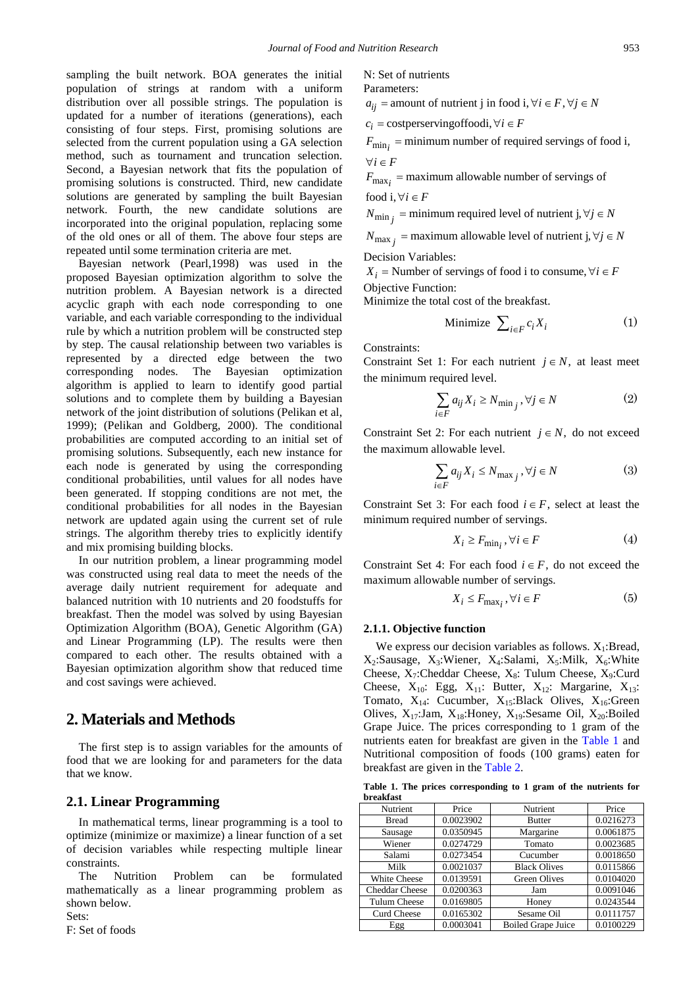sampling the built network. BOA generates the initial population of strings at random with a uniform distribution over all possible strings. The population is updated for a number of iterations (generations), each consisting of four steps. First, promising solutions are selected from the current population using a GA selection method, such as tournament and truncation selection. Second, a Bayesian network that fits the population of promising solutions is constructed. Third, new candidate solutions are generated by sampling the built Bayesian network. Fourth, the new candidate solutions are incorporated into the original population, replacing some of the old ones or all of them. The above four steps are repeated until some termination criteria are met.

Bayesian network (Pearl,1998) was used in the proposed Bayesian optimization algorithm to solve the nutrition problem. A Bayesian network is a directed acyclic graph with each node corresponding to one variable, and each variable corresponding to the individual rule by which a nutrition problem will be constructed step by step. The causal relationship between two variables is represented by a directed edge between the two corresponding nodes. The Bayesian optimization algorithm is applied to learn to identify good partial solutions and to complete them by building a Bayesian network of the joint distribution of solutions (Pelikan et al, 1999); (Pelikan and Goldberg, 2000). The conditional probabilities are computed according to an initial set of promising solutions. Subsequently, each new instance for each node is generated by using the corresponding conditional probabilities, until values for all nodes have been generated. If stopping conditions are not met, the conditional probabilities for all nodes in the Bayesian network are updated again using the current set of rule strings. The algorithm thereby tries to explicitly identify and mix promising building blocks.

In our nutrition problem, a linear programming model was constructed using real data to meet the needs of the average daily nutrient requirement for adequate and balanced nutrition with 10 nutrients and 20 foodstuffs for breakfast. Then the model was solved by using Bayesian Optimization Algorithm (BOA), Genetic Algorithm (GA) and Linear Programming (LP). The results were then compared to each other. The results obtained with a Bayesian optimization algorithm show that reduced time and cost savings were achieved.

# **2. Materials and Methods**

The first step is to assign variables for the amounts of food that we are looking for and parameters for the data that we know.

### **2.1. Linear Programming**

In mathematical terms, linear programming is a tool to optimize (minimize or maximize) a linear function of a set of decision variables while respecting multiple linear constraints.

The Nutrition Problem can be formulated mathematically as a linear programming problem as shown below. Sets:

F: Set of foods

N: Set of nutrients

Parameters:

 $a_{ii}$  = amount of nutrient j in food i,  $\forall i \in F, \forall j \in N$ 

 $c_i$  = costperservingoffoodi,  $\forall i \in F$ 

 $F_{\text{min}_i}$  = minimum number of required servings of food i,  $\forall i \in F$ 

 $F_{\text{max}_i}$  = maximum allowable number of servings of

food i,  $\forall i \in F$ 

 $N_{\text{min}}$ , = minimum required level of nutrient j,  $\forall j \in N$ 

$$
N_{\text{max }j} = \text{maximum allowable level of nutrient } j, \forall j \in N
$$

Decision Variables:

 $X_i$  = Number of servings of food i to consume,  $\forall i \in F$ Objective Function:

Minimize the total cost of the breakfast.

$$
\text{Minimize } \sum_{i \in F} c_i X_i \tag{1}
$$

Constraints:

Constraint Set 1: For each nutrient  $j \in N$ , at least meet the minimum required level.

$$
\sum_{i\in F} a_{ij}X_i \geq N_{\min_j}, \forall j\in N \tag{2}
$$

Constraint Set 2: For each nutrient  $j \in N$ , do not exceed the maximum allowable level.

$$
\sum_{i \in F} a_{ij} X_i \le N_{\max_j}, \forall j \in N
$$
 (3)

Constraint Set 3: For each food  $i \in F$ , select at least the minimum required number of servings.

$$
X_i \ge F_{\min_i}, \forall i \in F \tag{4}
$$

Constraint Set 4: For each food  $i \in F$ , do not exceed the maximum allowable number of servings.

$$
X_i \le F_{\text{max}_i}, \forall i \in F \tag{5}
$$

#### **2.1.1. Objective function**

We express our decision variables as follows.  $X_1$ :Bread,  $X_2$ :Sausage,  $X_3$ :Wiener,  $X_4$ :Salami,  $X_5$ :Milk,  $X_6$ :White Cheese,  $X_7$ :Cheddar Cheese,  $X_8$ : Tulum Cheese,  $X_9$ :Curd Cheese,  $X_{10}$ : Egg,  $X_{11}$ : Butter,  $X_{12}$ : Margarine,  $X_{13}$ : Tomato,  $X_{14}$ : Cucumber,  $X_{15}$ : Black Olives,  $X_{16}$ : Green Olives,  $X_{17}$ :Jam,  $X_{18}$ :Honey,  $X_{19}$ :Sesame Oil,  $X_{20}$ :Boiled Grape Juice. The prices corresponding to 1 gram of the nutrients eaten for breakfast are given in the [Table 1](#page-1-0) and Nutritional composition of foods (100 grams) eaten for breakfast are given in the [Table 2.](#page-2-0)

**Table 1. The prices corresponding to 1 gram of the nutrients for breakfast**

<span id="page-1-0"></span>

| Nutrient              | Price     | Nutrient                  | Price     |  |
|-----------------------|-----------|---------------------------|-----------|--|
| <b>Bread</b>          | 0.0023902 | <b>Butter</b>             | 0.0216273 |  |
| Sausage               | 0.0350945 | Margarine                 | 0.0061875 |  |
| Wiener                | 0.0274729 | Tomato                    | 0.0023685 |  |
| Salami                | 0.0273454 | Cucumber                  | 0.0018650 |  |
| Milk                  | 0.0021037 | <b>Black Olives</b>       | 0.0115866 |  |
| <b>White Cheese</b>   | 0.0139591 | Green Olives              | 0.0104020 |  |
| <b>Cheddar Cheese</b> | 0.0200363 | Jam                       | 0.0091046 |  |
| <b>Tulum Cheese</b>   | 0.0169805 | Honey                     | 0.0243544 |  |
| <b>Curd Cheese</b>    | 0.0165302 | Sesame Oil                | 0.0111757 |  |
| Egg                   | 0.0003041 | <b>Boiled Grape Juice</b> | 0.0100229 |  |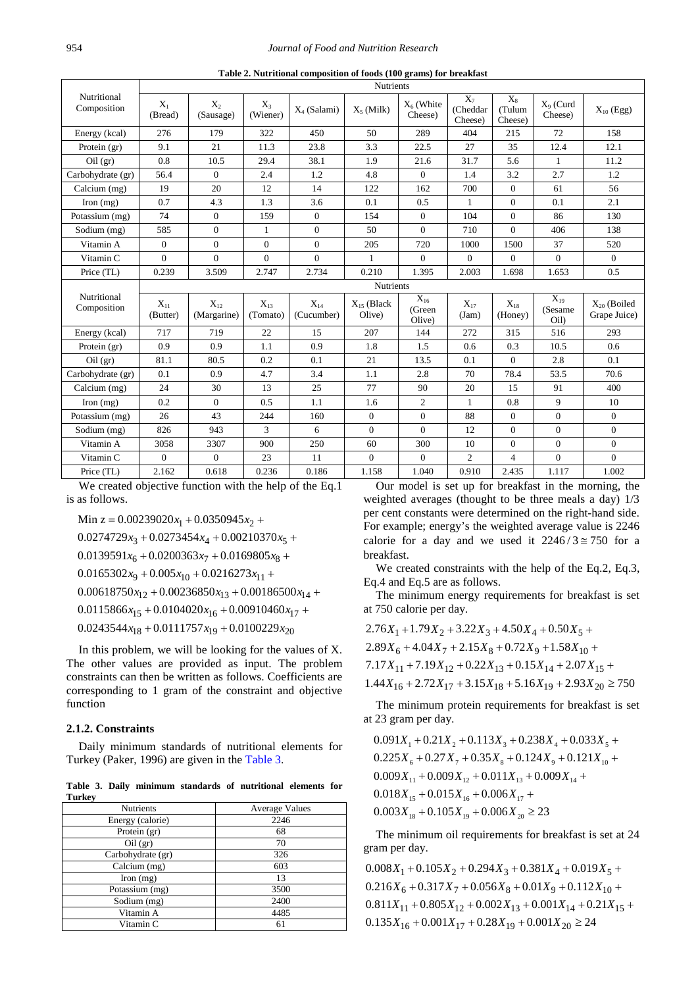<span id="page-2-0"></span>

|                            | <b>Nutrients</b>     |                         |                      |                        |                           |                              |                              |                            |                              |                                  |
|----------------------------|----------------------|-------------------------|----------------------|------------------------|---------------------------|------------------------------|------------------------------|----------------------------|------------------------------|----------------------------------|
| Nutritional<br>Composition | $X_1$<br>(Bread)     | $X_2$<br>(Sausage)      | $X_3$<br>(Wiener)    | $X_4$ (Salami)         | $X_5$ (Milk)              | $X_6$ (White<br>Cheese)      | $X_7$<br>(Cheddar<br>Cheese) | $X_8$<br>(Tulum<br>Cheese) | $X_9$ (Curd<br>Cheese)       | $X_{10}$ (Egg)                   |
| Energy (kcal)              | 276                  | 179                     | 322                  | 450                    | 50                        | 289                          | 404                          | 215                        | 72                           | 158                              |
| Protein (gr)               | 9.1                  | 21                      | 11.3                 | 23.8                   | 3.3                       | 22.5                         | 27                           | 35                         | 12.4                         | 12.1                             |
| Oil(gr)                    | 0.8                  | 10.5                    | 29.4                 | 38.1                   | 1.9                       | 21.6                         | 31.7                         | 5.6                        | 1                            | 11.2                             |
| Carbohydrate (gr)          | 56.4                 | $\Omega$                | 2.4                  | 1.2                    | 4.8                       | $\Omega$                     | 1.4                          | 3.2                        | 2.7                          | 1.2                              |
| Calcium (mg)               | 19                   | 20                      | 12                   | 14                     | 122                       | 162                          | 700                          | 0                          | 61                           | 56                               |
| Iron $(mg)$                | 0.7                  | 4.3                     | 1.3                  | 3.6                    | 0.1                       | 0.5                          | $\mathbf{1}$                 | $\overline{0}$             | 0.1                          | 2.1                              |
| Potassium (mg)             | 74                   | $\mathbf{0}$            | 159                  | $\overline{0}$         | 154                       | $\mathbf{0}$                 | 104                          | $\overline{0}$             | 86                           | 130                              |
| Sodium (mg)                | 585                  | $\overline{0}$          | $\mathbf{1}$         | $\overline{0}$         | 50                        | $\overline{0}$               | 710                          | $\theta$                   | 406                          | 138                              |
| Vitamin A                  | $\overline{0}$       | $\overline{0}$          | $\overline{0}$       | $\overline{0}$         | 205                       | 720                          | 1000                         | 1500                       | 37                           | 520                              |
| Vitamin <sub>C</sub>       | $\Omega$             | $\Omega$                | $\overline{0}$       | $\Omega$               | $\mathbf{1}$              | $\Omega$                     | $\Omega$                     | $\Omega$                   | $\Omega$                     | $\Omega$                         |
| Price (TL)                 | 0.239                | 3.509                   | 2.747                | 2.734                  | 0.210                     | 1.395                        | 2.003                        | 1.698                      | 1.653                        | 0.5                              |
|                            | <b>Nutrients</b>     |                         |                      |                        |                           |                              |                              |                            |                              |                                  |
|                            |                      |                         |                      |                        |                           |                              |                              |                            |                              |                                  |
| Nutritional<br>Composition | $X_{11}$<br>(Butter) | $X_{12}$<br>(Margarine) | $X_{13}$<br>(Tomato) | $X_{14}$<br>(Cucumber) | $X_{15}$ (Black<br>Olive) | $X_{16}$<br>(Green<br>Olive) | $X_{17}$<br>(Jam)            | $X_{18}$<br>(Honey)        | $X_{19}$<br>(Sesame)<br>Oil) | $X_{20}$ (Boiled<br>Grape Juice) |
| Energy (kcal)              | 717                  | 719                     | 22                   | 15                     | 207                       | 144                          | 272                          | 315                        | 516                          | 293                              |
| Protein (gr)               | 0.9                  | 0.9                     | 1.1                  | 0.9                    | 1.8                       | 1.5                          | 0.6                          | 0.3                        | 10.5                         | 0.6                              |
| Oil(gr)                    | 81.1                 | 80.5                    | 0.2                  | 0.1                    | 21                        | 13.5                         | 0.1                          | $\Omega$                   | 2.8                          | 0.1                              |
| Carbohydrate (gr)          | 0.1                  | 0.9                     | 4.7                  | 3.4                    | 1.1                       | 2.8                          | 70                           | 78.4                       | 53.5                         | 70.6                             |
| Calcium (mg)               | 24                   | 30                      | 13                   | 25                     | 77                        | 90                           | 20                           | 15                         | 91                           | 400                              |
| Iron $(mg)$                | 0.2                  | $\Omega$                | 0.5                  | 1.1                    | 1.6                       | $\overline{2}$               | $\mathbf{1}$                 | 0.8                        | 9                            | 10                               |
| Potassium (mg)             | 26                   | 43                      | 244                  | 160                    | $\overline{0}$            | $\mathbf{0}$                 | 88                           | $\mathbf{0}$               | $\overline{0}$               | $\Omega$                         |
| Sodium (mg)                | 826                  | 943                     | 3                    | 6                      | $\Omega$                  | $\theta$                     | 12                           | $\overline{0}$             | $\Omega$                     | $\Omega$                         |
| Vitamin A                  | 3058                 | 3307                    | 900                  | 250                    | 60                        | 300                          | 10                           | $\overline{0}$             | $\overline{0}$               | $\overline{0}$                   |
| Vitamin C                  | $\overline{0}$       | $\Omega$                | 23                   | 11                     | $\Omega$                  | $\mathbf{0}$                 | $\mathfrak{2}$               | $\overline{4}$             | $\overline{0}$               | $\Omega$                         |

**Table 2. Nutritional composition of foods (100 grams) for breakfast**

We created objective function with the help of the Eq.1 is as follows.

 $0.0139591x_6 + 0.0200363x_7 + 0.0169805x_8 +$  $0.0165302x_9 + 0.005x_{10} + 0.0216273x_{11} +$  $0.00618750x_{12} + 0.00236850x_{13} + 0.00186500x_{14} +$ Min z =  $0.00239020x_1 + 0.0350945x_2 +$  $0.0274729x_3 + 0.0273454x_4 + 0.00210370x_5 +$  $0.0115866x_{15} + 0.0104020x_{16} + 0.00910460x_{17} +$  $0.0243544x_{18} + 0.0111757x_{19} + 0.0100229x_{20}$ 

In this problem, we will be looking for the values of X. The other values are provided as input. The problem constraints can then be written as follows. Coefficients are corresponding to 1 gram of the constraint and objective function

#### **2.1.2. Constraints**

Daily minimum standards of nutritional elements for Turkey (Paker, 1996) are given in the [Table 3.](#page-2-1)

**Table 3. Daily minimum standards of nutritional elements for Turkey**

<span id="page-2-1"></span>

| Nutrients         | <b>Average Values</b> |
|-------------------|-----------------------|
| Energy (calorie)  | 2246                  |
| Protein (gr)      | 68                    |
| Oil(gr)           | 70                    |
| Carbohydrate (gr) | 326                   |
| Calcium (mg)      | 603                   |
| Iron $(mg)$       | 13                    |
| Potassium (mg)    | 3500                  |
| Sodium (mg)       | 2400                  |
| Vitamin A         | 4485                  |
| Vitamin C         | 61                    |

Our model is set up for breakfast in the morning, the weighted averages (thought to be three meals a day) 1/3 per cent constants were determined on the right-hand side. For example; energy's the weighted average value is 2246 calorie for a day and we used it  $2246/3 \approx 750$  for a breakfast.

We created constraints with the help of the Eq.2, Eq.3, Eq.4 and Eq.5 are as follows.

The minimum energy requirements for breakfast is set at 750 calorie per day.

 $2.76X_1 + 1.79X_2 + 3.22X_3 + 4.50X_4 + 0.50X_5 +$  $2.89X_6 + 4.04X_7 + 2.15X_8 + 0.72X_9 + 1.58X_{10} +$  $7.17X_{11} + 7.19X_{12} + 0.22X_{13} + 0.15X_{14} + 2.07X_{15} +$  $1.44X_{16} + 2.72X_{17} + 3.15X_{18} + 5.16X_{19} + 2.93X_{20} \ge 750$ 

The minimum protein requirements for breakfast is set at 23 gram per day.

 $0.091X_1 + 0.21X_2 + 0.113X_3 + 0.238X_4 + 0.033X_5 +$  $0.225X_6 + 0.27X_7 + 0.35X_8 + 0.124X_9 + 0.121X_{10} +$  $0.009X_{11} + 0.009X_{12} + 0.011X_{13} + 0.009X_{14} +$  $0.018X_{15} + 0.015X_{16} + 0.006X_{17} +$  $0.003X_{18} + 0.105X_{19} + 0.006X_{20} \ge 23$ 

The minimum oil requirements for breakfast is set at 24 gram per day.

 $0.008X_1 + 0.105X_2 + 0.294X_3 + 0.381X_4 + 0.019X_5 +$  $0.216X_6 + 0.317X_7 + 0.056X_8 + 0.01X_9 + 0.112X_{10} +$  $0.811X_{11} + 0.805X_{12} + 0.002X_{13} + 0.001X_{14} + 0.21X_{15} +$  $0.135X_{16} + 0.001X_{17} + 0.28X_{19} + 0.001X_{20} \ge 24$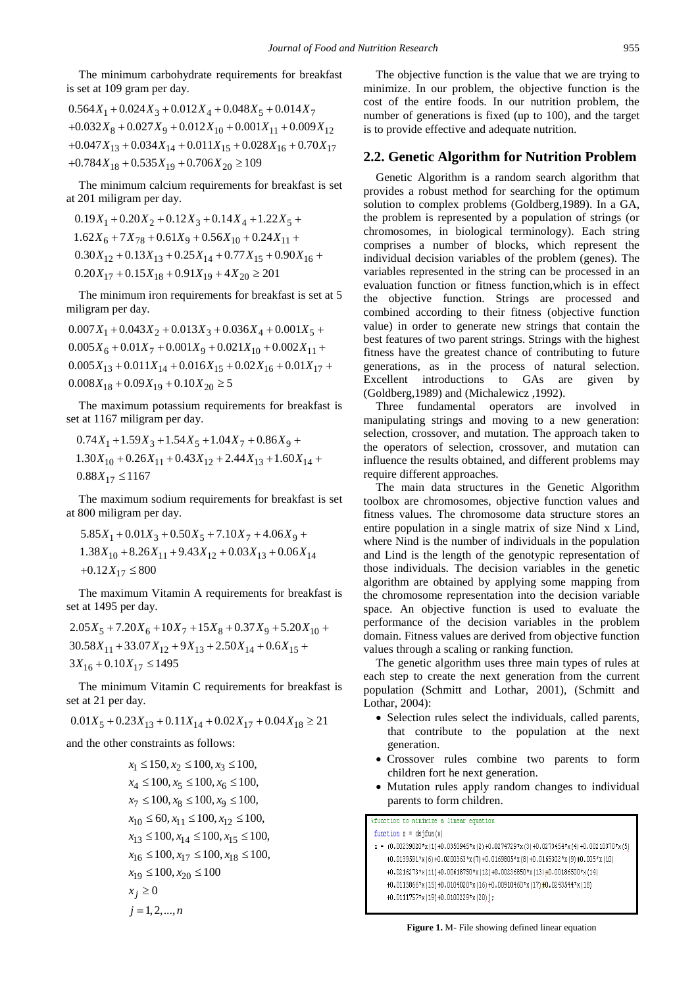The minimum carbohydrate requirements for breakfast is set at 109 gram per day.

$$
\begin{aligned} &0.564X_1+0.024X_3+0.012X_4+0.048X_5+0.014X_7\\ &+0.032X_8+0.027X_9+0.012X_{10}+0.001X_{11}+0.009X_{12}\\ &+0.047X_{13}+0.034X_{14}+0.011X_{15}+0.028X_{16}+0.70X_{17}\\ &+0.784X_{18}+0.535X_{19}+0.706X_{20}\geq109 \end{aligned}
$$

The minimum calcium requirements for breakfast is set at 201 miligram per day.

$$
0.19X_1 + 0.20X_2 + 0.12X_3 + 0.14X_4 + 1.22X_5 + 1.62X_6 + 7X_{78} + 0.61X_9 + 0.56X_{10} + 0.24X_{11} + 0.30X_{12} + 0.13X_{13} + 0.25X_{14} + 0.77X_{15} + 0.90X_{16} + 0.20X_{17} + 0.15X_{18} + 0.91X_{19} + 4X_{20} \ge 201
$$

The minimum iron requirements for breakfast is set at 5 miligram per day.

 $0.007X_1 + 0.043X_2 + 0.013X_3 + 0.036X_4 + 0.001X_5 +$  $0.005X_6 + 0.01X_7 + 0.001X_9 + 0.021X_{10} + 0.002X_{11} +$  $0.005X_{13} + 0.011X_{14} + 0.016X_{15} + 0.02X_{16} + 0.01X_{17} +$  $0.008X_{18} + 0.09X_{19} + 0.10X_{20} \ge 5$ 

The maximum potassium requirements for breakfast is set at 1167 miligram per day.

$$
0.74X_1 + 1.59X_3 + 1.54X_5 + 1.04X_7 + 0.86X_9 +
$$
  

$$
1.30X_{10} + 0.26X_{11} + 0.43X_{12} + 2.44X_{13} + 1.60X_{14} +
$$
  

$$
0.88X_{17} \le 1167
$$

The maximum sodium requirements for breakfast is set at 800 miligram per day.

$$
5.85X_1 + 0.01X_3 + 0.50X_5 + 7.10X_7 + 4.06X_9 +
$$
  

$$
1.38X_{10} + 8.26X_{11} + 9.43X_{12} + 0.03X_{13} + 0.06X_{14}
$$
  

$$
+0.12X_{17} \le 800
$$

The maximum Vitamin A requirements for breakfast is set at 1495 per day.

 $2.05X_5 + 7.20X_6 + 10X_7 + 15X_8 + 0.37X_9 + 5.20X_{10} +$  $30.58X_{11} + 33.07X_{12} + 9X_{13} + 2.50X_{14} + 0.6X_{15} +$  $3X_{16} + 0.10X_{17} \le 1495$ 

The minimum Vitamin C requirements for breakfast is set at 21 per day.

$$
0.01X_5 + 0.23X_{13} + 0.11X_{14} + 0.02X_{17} + 0.04X_{18} \ge 21
$$

and the other constraints as follows:

$$
x_1 \le 150, x_2 \le 100, x_3 \le 100,
$$
  
\n
$$
x_4 \le 100, x_5 \le 100, x_6 \le 100,
$$
  
\n
$$
x_7 \le 100, x_8 \le 100, x_9 \le 100,
$$
  
\n
$$
x_{10} \le 60, x_{11} \le 100, x_{12} \le 100,
$$
  
\n
$$
x_{13} \le 100, x_{14} \le 100, x_{15} \le 100,
$$
  
\n
$$
x_{16} \le 100, x_{17} \le 100, x_{18} \le 100,
$$
  
\n
$$
x_{19} \le 100, x_{20} \le 100
$$
  
\n
$$
x_j \ge 0
$$
  
\n
$$
j = 1, 2, ..., n
$$

The objective function is the value that we are trying to minimize. In our problem, the objective function is the cost of the entire foods. In our nutrition problem, the number of generations is fixed (up to 100), and the target is to provide effective and adequate nutrition.

#### **2.2. Genetic Algorithm for Nutrition Problem**

Genetic Algorithm is a random search algorithm that provides a robust method for searching for the optimum solution to complex problems (Goldberg,1989). In a GA, the problem is represented by a population of strings (or chromosomes, in biological terminology). Each string comprises a number of blocks, which represent the individual decision variables of the problem (genes). The variables represented in the string can be processed in an evaluation function or fitness function,which is in effect the objective function. Strings are processed and combined according to their fitness (objective function value) in order to generate new strings that contain the best features of two parent strings. Strings with the highest fitness have the greatest chance of contributing to future generations, as in the process of natural selection. Excellent introductions to GAs are given by (Goldberg,1989) and (Michalewicz ,1992).

Three fundamental operators are involved in manipulating strings and moving to a new generation: selection, crossover, and mutation. The approach taken to the operators of selection, crossover, and mutation can influence the results obtained, and different problems may require different approaches.

The main data structures in the Genetic Algorithm toolbox are chromosomes, objective function values and fitness values. The chromosome data structure stores an entire population in a single matrix of size Nind x Lind, where Nind is the number of individuals in the population and Lind is the length of the genotypic representation of those individuals. The decision variables in the genetic algorithm are obtained by applying some mapping from the chromosome representation into the decision variable space. An objective function is used to evaluate the performance of the decision variables in the problem domain. Fitness values are derived from objective function values through a scaling or ranking function.

The genetic algorithm uses three main types of rules at each step to create the next generation from the current population (Schmitt and Lothar, 2001), (Schmitt and Lothar, 2004):

- Selection rules select the individuals, called parents, that contribute to the population at the next generation.
- Crossover rules combine two parents to form children fort he next generation.
- Mutation rules apply random changes to individual parents to form children.

%function to minimize a linear equation

function  $z = objfun(x)$ 

 $z = (0.00239020* x (1) +0.0350945*x (2) +0.0274729*x (3) +0.0273454*x (4) +0.00210370*x (5)$ +0.0139591\*x(6)+0.0200363\*x(7)+0.0169805\*x(8)+0.0165302\*x(9)+0.005\*x(10) +0.0216273\*x(11)+0.00618750\*x(12)+0.00236850\*x(13)+0.00186500\*x(14) +0.0115866\*x(15)+0.0104020\*x(16)+0.00910460\*x(17)+0.0243544\*x(18)  $+0.0111757*$ x (19)  $+0.0100229*$ x (20));

**Figure 1.** M- File showing defined linear equation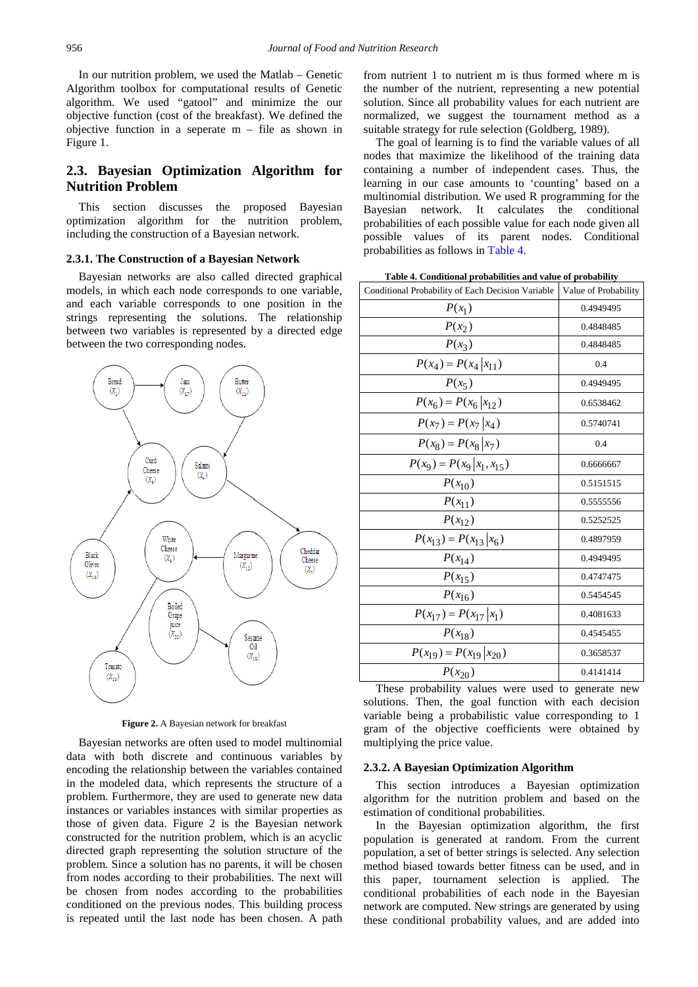In our nutrition problem, we used the Matlab – Genetic Algorithm toolbox for computational results of Genetic algorithm. We used "gatool" and minimize the our objective function (cost of the breakfast). We defined the objective function in a seperate m – file as shown in Figure 1.

## **2.3. Bayesian Optimization Algorithm for Nutrition Problem**

This section discusses the proposed Bayesian optimization algorithm for the nutrition problem, including the construction of a Bayesian network.

#### **2.3.1. The Construction of a Bayesian Network**

Bayesian networks are also called directed graphical models, in which each node corresponds to one variable, and each variable corresponds to one position in the strings representing the solutions. The relationship between two variables is represented by a directed edge between the two corresponding nodes.



**Figure 2.** A Bayesian network for breakfast

Bayesian networks are often used to model multinomial data with both discrete and continuous variables by encoding the relationship between the variables contained in the modeled data, which represents the structure of a problem. Furthermore, they are used to generate new data instances or variables instances with similar properties as those of given data. Figure 2 is the Bayesian network constructed for the nutrition problem, which is an acyclic directed graph representing the solution structure of the problem. Since a solution has no parents, it will be chosen from nodes according to their probabilities. The next will be chosen from nodes according to the probabilities conditioned on the previous nodes. This building process is repeated until the last node has been chosen. A path from nutrient 1 to nutrient m is thus formed where m is the number of the nutrient, representing a new potential solution. Since all probability values for each nutrient are normalized, we suggest the tournament method as a suitable strategy for rule selection (Goldberg, 1989).

The goal of learning is to find the variable values of all nodes that maximize the likelihood of the training data containing a number of independent cases. Thus, the learning in our case amounts to 'counting' based on a multinomial distribution. We used R programming for the Bayesian network. It calculates the conditional probabilities of each possible value for each node given all possible values of its parent nodes. Conditional probabilities as follows in [Table 4.](#page-4-0)

**Table 4. Conditional probabilities and value of probability**

<span id="page-4-0"></span>

| Conditional Probability of Each Decision Variable | Value of Probability |
|---------------------------------------------------|----------------------|
| $P(x_1)$                                          | 0.4949495            |
| $P(x_2)$                                          | 0.4848485            |
| $P(x_3)$                                          | 0.4848485            |
| $P(x_4) = P(x_4   x_{11})$                        | 0.4                  |
| $P(x_5)$                                          | 0.4949495            |
| $P(x_6) = P(x_6   x_{12})$                        | 0.6538462            |
| $P(x_7) = P(x_7   x_4)$                           | 0.5740741            |
| $P(x_8) = P(x_8   x_7)$                           | 0.4                  |
| $P(x_9) = P(x_9   x_1, x_{15})$                   | 0.6666667            |
| $P(x_{10})$                                       | 0.5151515            |
| $P(x_{11})$                                       | 0.5555556            |
| $P(x_{12})$                                       | 0.5252525            |
| $P(x_{13}) = P(x_{13} x_6)$                       | 0.4897959            |
| $P(x_{14})$                                       | 0.4949495            |
| $P(x_{15})$                                       | 0.4747475            |
| $P(x_{16})$                                       | 0.5454545            |
| $P(x_{17}) = P(x_{17}   x_1)$                     | 0.4081633            |
| $P(x_{18})$                                       | 0.4545455            |
| $P(x_{19}) = P(x_{19}   x_{20})$                  | 0.3658537            |
| $P(x_{20})$                                       | 0.4141414            |

These probability values were used to generate new solutions. Then, the goal function with each decision variable being a probabilistic value corresponding to 1 gram of the objective coefficients were obtained by multiplying the price value.

#### **2.3.2. A Bayesian Optimization Algorithm**

This section introduces a Bayesian optimization algorithm for the nutrition problem and based on the estimation of conditional probabilities.

In the Bayesian optimization algorithm, the first population is generated at random. From the current population, a set of better strings is selected. Any selection method biased towards better fitness can be used, and in this paper, tournament selection is applied. The conditional probabilities of each node in the Bayesian network are computed. New strings are generated by using these conditional probability values, and are added into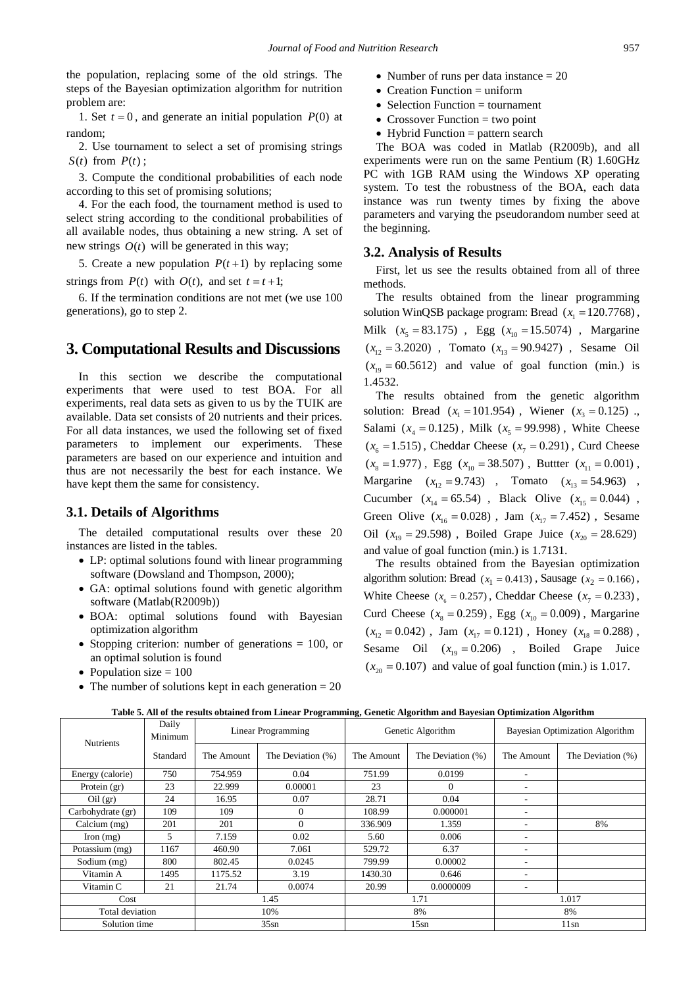the population, replacing some of the old strings. The steps of the Bayesian optimization algorithm for nutrition problem are:

1. Set  $t = 0$ , and generate an initial population  $P(0)$  at random;

2. Use tournament to select a set of promising strings  $S(t)$  from  $P(t)$ ;

3. Compute the conditional probabilities of each node according to this set of promising solutions;

4. For the each food, the tournament method is used to select string according to the conditional probabilities of all available nodes, thus obtaining a new string. A set of new strings  $O(t)$  will be generated in this way;

5. Create a new population  $P(t+1)$  by replacing some strings from  $P(t)$  with  $O(t)$ , and set  $t = t + 1$ ;

6. If the termination conditions are not met (we use 100 generations), go to step 2.

## **3. Computational Results and Discussions**

In this section we describe the computational experiments that were used to test BOA. For all experiments, real data sets as given to us by the TUIK are available. Data set consists of 20 nutrients and their prices. For all data instances, we used the following set of fixed parameters to implement our experiments. These parameters are based on our experience and intuition and thus are not necessarily the best for each instance. We have kept them the same for consistency.

#### **3.1. Details of Algorithms**

The detailed computational results over these 20 instances are listed in the tables.

- LP: optimal solutions found with linear programming software (Dowsland and Thompson, 2000);
- GA: optimal solutions found with genetic algorithm software (Matlab(R2009b))
- BOA: optimal solutions found with Bayesian optimization algorithm
- Stopping criterion: number of generations = 100, or an optimal solution is found
- Population size  $= 100$
- The number of solutions kept in each generation  $= 20$
- Number of runs per data instance  $= 20$
- Creation Function = uniform
- Selection Function = tournament
- Crossover Function  $=$  two point
- Hybrid Function  $=$  pattern search

The BOA was coded in Matlab (R2009b), and all experiments were run on the same Pentium (R) 1.60GHz PC with 1GB RAM using the Windows XP operating system. To test the robustness of the BOA, each data instance was run twenty times by fixing the above parameters and varying the pseudorandom number seed at the beginning.

#### **3.2. Analysis of Results**

First, let us see the results obtained from all of three methods.

The results obtained from the linear programming solution WinQSB package program: Bread  $(x_1 = 120.7768)$ , Milk  $(x_5 = 83.175)$ , Egg  $(x_{10} = 15.5074)$ , Margarine  $(x_{12} = 3.2020)$ , Tomato  $(x_{13} = 90.9427)$ , Sesame Oil  $(x<sub>19</sub> = 60.5612)$  and value of goal function (min.) is 1.4532.

The results obtained from the genetic algorithm solution: Bread  $(x_1 = 101.954)$ , Wiener  $(x_2 = 0.125)$ . Salami  $(x_4 = 0.125)$ , Milk  $(x_5 = 99.998)$ , White Cheese  $(x<sub>6</sub> = 1.515)$ , Cheddar Cheese  $(x<sub>7</sub> = 0.291)$ , Curd Cheese  $(x_8 = 1.977)$ , Egg  $(x_{10} = 38.507)$ , Buttter  $(x_{11} = 0.001)$ , Margarine  $(x_{12} = 9.743)$ , Tomato  $(x_{13} = 54.963)$ , Cucumber  $(x_{14} = 65.54)$ , Black Olive  $(x_{15} = 0.044)$ , Green Olive  $(x_{16} = 0.028)$ , Jam  $(x_{17} = 7.452)$ , Sesame Oil  $(x_{10} = 29.598)$ , Boiled Grape Juice  $(x_{20} = 28.629)$ and value of goal function (min.) is 1.7131.

The results obtained from the Bayesian optimization algorithm solution: Bread  $(x_1 = 0.413)$ , Sausage  $(x_2 = 0.166)$ , White Cheese  $(x_6 = 0.257)$ , Cheddar Cheese  $(x_7 = 0.233)$ , Curd Cheese  $(x_8 = 0.259)$ , Egg  $(x_{10} = 0.009)$ , Margarine  $(x_{12} = 0.042)$ , Jam  $(x_{17} = 0.121)$ , Honey  $(x_{18} = 0.288)$ , Sesame Oil  $(x_{19} = 0.206)$ , Boiled Grape Juice  $(x_{20} = 0.107)$  and value of goal function (min.) is 1.017.

<span id="page-5-0"></span>

| Table 5. All of the results obtained from Linear Programming, Genetic Algorithm and Bayesian Optimization Algorithm |                  |               |                    |                   |                   |                                        |                   |
|---------------------------------------------------------------------------------------------------------------------|------------------|---------------|--------------------|-------------------|-------------------|----------------------------------------|-------------------|
| <b>Nutrients</b>                                                                                                    | Daily<br>Minimum |               | Linear Programming | Genetic Algorithm |                   | <b>Bayesian Optimization Algorithm</b> |                   |
|                                                                                                                     | Standard         | The Amount    | The Deviation (%)  | The Amount        | The Deviation (%) | The Amount                             | The Deviation (%) |
| Energy (calorie)                                                                                                    | 750              | 754.959       | 0.04               | 751.99            | 0.0199            |                                        |                   |
| Protein (gr)                                                                                                        | 23               | 22.999        | 0.00001            | 23                | 0                 |                                        |                   |
| $Oil$ (gr)                                                                                                          | 24               | 16.95         | 0.07               | 28.71             | 0.04              |                                        |                   |
| Carbohydrate (gr)                                                                                                   | 109              | 109           | $\Omega$           | 108.99            | 0.000001          |                                        |                   |
| Calcium (mg)                                                                                                        | 201              | 201           | $\Omega$           | 336.909           | 1.359             |                                        | 8%                |
| Iron $(mg)$                                                                                                         | 5                | 7.159         | 0.02               | 5.60              | 0.006             |                                        |                   |
| Potassium (mg)                                                                                                      | 1167             | 460.90        | 7.061              | 529.72            | 6.37              | ٠                                      |                   |
| Sodium (mg)                                                                                                         | 800              | 802.45        | 0.0245             | 799.99            | 0.00002           | ٠                                      |                   |
| Vitamin A                                                                                                           | 1495             | 1175.52       | 3.19               | 1430.30           | 0.646             |                                        |                   |
| Vitamin C                                                                                                           | 21               | 21.74         | 0.0074             | 20.99             | 0.0000009         | ٠                                      |                   |
| Cost                                                                                                                |                  | 1.45          |                    | 1.71              |                   | 1.017                                  |                   |
| Total deviation                                                                                                     |                  | 10%           |                    | 8%                |                   | 8%                                     |                   |
| Solution time                                                                                                       |                  | $35\text{sn}$ | 15sn               |                   | 11 <sub>sn</sub>  |                                        |                   |

**Table 5. All of the results obtained from Linear Programming, Genetic Algorithm and Bayesian Optimization Algorithm**